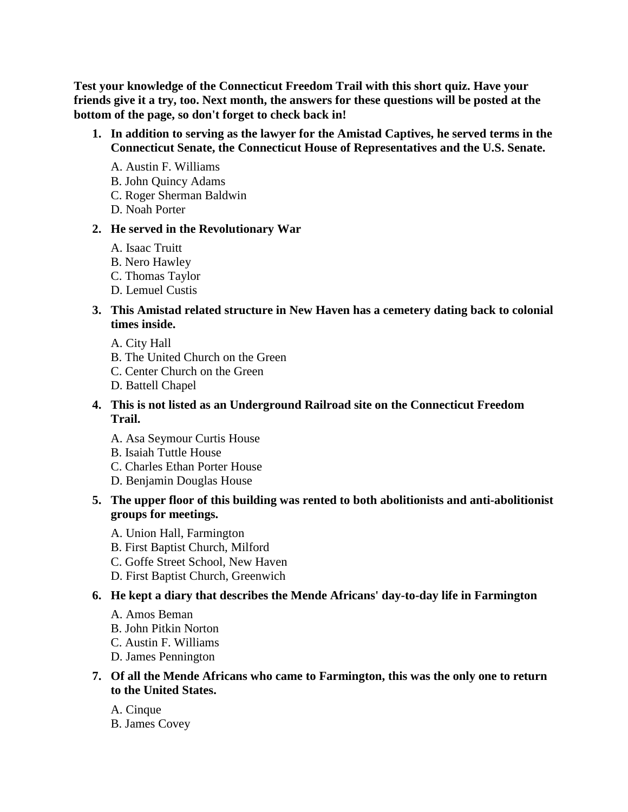**Test your knowledge of the Connecticut Freedom Trail with this short quiz. Have your friends give it a try, too. Next month, the answers for these questions will be posted at the bottom of the page, so don't forget to check back in!**

- **1. In addition to serving as the lawyer for the Amistad Captives, he served terms in the Connecticut Senate, the Connecticut House of Representatives and the U.S. Senate.** 
	- A. Austin F. Williams
	- B. John Quincy Adams
	- C. Roger Sherman Baldwin
	- D. Noah Porter

## **2. He served in the Revolutionary War**

- A. Isaac Truitt
- B. Nero Hawley
- C. Thomas Taylor
- D. Lemuel Custis

## **3. This Amistad related structure in New Haven has a cemetery dating back to colonial times inside.**

- A. City Hall
- B. The United Church on the Green
- C. Center Church on the Green
- D. Battell Chapel

## **4. This is not listed as an Underground Railroad site on the Connecticut Freedom Trail.**

- A. Asa Seymour Curtis House
- B. Isaiah Tuttle House
- C. Charles Ethan Porter House
- D. Benjamin Douglas House

## **5. The upper floor of this building was rented to both abolitionists and anti-abolitionist groups for meetings.**

- A. Union Hall, Farmington
- B. First Baptist Church, Milford
- C. Goffe Street School, New Haven
- D. First Baptist Church, Greenwich

## **6. He kept a diary that describes the Mende Africans' day-to-day life in Farmington**

- A. Amos Beman
- B. John Pitkin Norton
- C. Austin F. Williams
- D. James Pennington

## **7. Of all the Mende Africans who came to Farmington, this was the only one to return to the United States.**

A. Cinque B. James Covey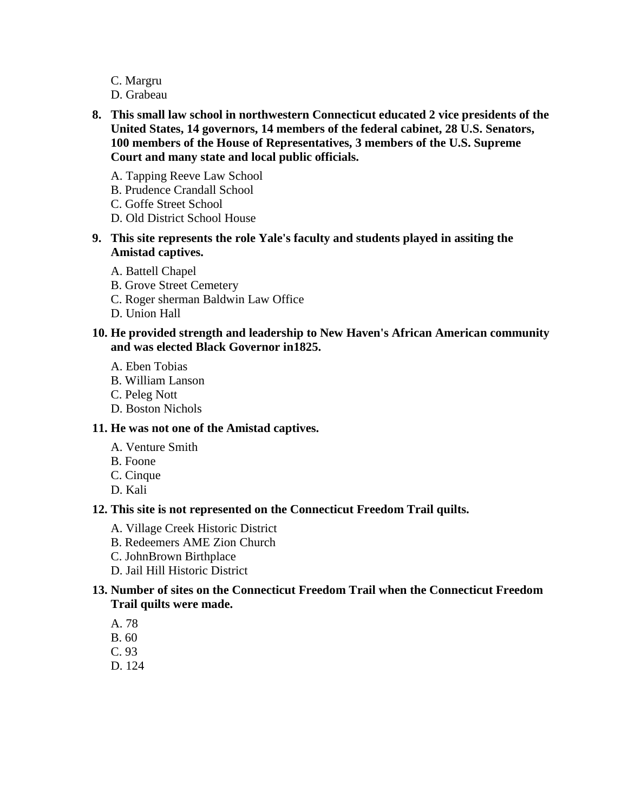- C. Margru
- D. Grabeau
- **8. This small law school in northwestern Connecticut educated 2 vice presidents of the United States, 14 governors, 14 members of the federal cabinet, 28 U.S. Senators, 100 members of the House of Representatives, 3 members of the U.S. Supreme Court and many state and local public officials.** 
	- A. Tapping Reeve Law School
	- B. Prudence Crandall School
	- C. Goffe Street School
	- D. Old District School House
- **9. This site represents the role Yale's faculty and students played in assiting the Amistad captives.** 
	- A. Battell Chapel
	- B. Grove Street Cemetery
	- C. Roger sherman Baldwin Law Office
	- D. Union Hall

#### **10. He provided strength and leadership to New Haven's African American community and was elected Black Governor in1825.**

- A. Eben Tobias
- B. William Lanson
- C. Peleg Nott
- D. Boston Nichols

### **11. He was not one of the Amistad captives.**

- A. Venture Smith
- B. Foone
- C. Cinque
- D. Kali

#### **12. This site is not represented on the Connecticut Freedom Trail quilts.**

- A. Village Creek Historic District
- B. Redeemers AME Zion Church
- C. JohnBrown Birthplace
- D. Jail Hill Historic District

### **13. Number of sites on the Connecticut Freedom Trail when the Connecticut Freedom Trail quilts were made.**

- A. 78
- B. 60
- C. 93
- D. 124